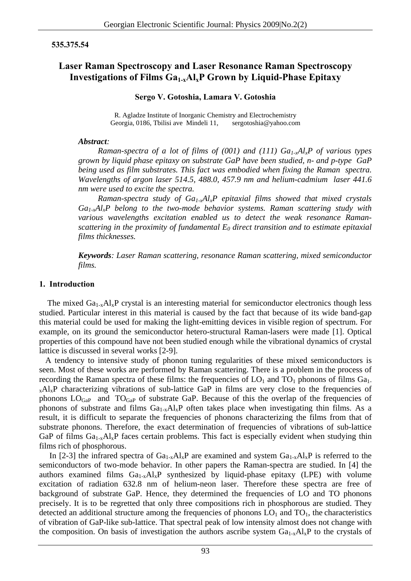### **535.375.54**

# **Laser Raman Spectroscopy and Laser Resonance Raman Spectroscopy Investigations of Films Ga1-xAlxP Grown by Liquid-Phase Epitaxy**

**Sergo V. Gotoshia, Lamara V. Gotoshia** 

R. Agladze Institute of Inorganic Chemistry and Electrochemistry Georgia, 0186, Tbilisi ave Mindeli 11, sergotoshia@yahoo.com

#### *Abstract:*

*Raman-spectra of a lot of films of (001) and (111) Ga1-xAlxP of various types grown by liquid phase epitaxy on substrate GaP have been studied, n- and p-type GaP being used as film substrates. This fact was embodied when fixing the Raman spectra. Wavelengths of argon laser 514.5, 488.0, 457.9 nm and helium-cadmium laser 441.6 nm were used to excite the spectra.* 

*Raman-spectra study of Ga1-xAlxP epitaxial films showed that mixed crystals Ga1-xAlxP belong to the two-mode behavior systems. Raman scattering study with various wavelengths excitation enabled us to detect the weak resonance Ramanscattering in the proximity of fundamental*  $E_0$  *direct transition and to estimate epitaxial films thicknesses.* 

*Keywords: Laser Raman scattering, resonance Raman scattering, mixed semiconductor films.* 

## **1. Introduction**

The mixed  $Ga_{1-x}Al_xP$  crystal is an interesting material for semiconductor electronics though less studied. Particular interest in this material is caused by the fact that because of its wide band-gap this material could be used for making the light-emitting devices in visible region of spectrum. For example, on its ground the semiconductor hetero-structural Raman-lasers were made [1]. Optical properties of this compound have not been studied enough while the vibrational dynamics of crystal lattice is discussed in several works [2-9].

 A tendency to intensive study of phonon tuning regularities of these mixed semiconductors is seen. Most of these works are performed by Raman scattering. There is a problem in the process of recording the Raman spectra of these films: the frequencies of  $LO_1$  and  $TO_1$  phonons of films  $Ga_1$ .  $_{x}Al_{x}P$  characterizing vibrations of sub-lattice GaP in films are very close to the frequencies of phonons  $LO_{Gap}$  and  $TO_{Gap}$  of substrate GaP. Because of this the overlap of the frequencies of phonons of substrate and films  $Ga_{1-x}Al_xP$  often takes place when investigating thin films. As a result, it is difficult to separate the frequencies of phonons characterizing the films from that of substrate phonons. Therefore, the exact determination of frequencies of vibrations of sub-lattice GaP of films  $Ga_{1-x}Al_xP$  faces certain problems. This fact is especially evident when studying thin films rich of phosphorous.

In [2-3] the infrared spectra of  $Ga_{1-x}Al_xP$  are examined and system  $Ga_{1-x}Al_xP$  is referred to the semiconductors of two-mode behavior. In other papers the Raman-spectra are studied. In [4] the authors examined films  $Ga_{1-x}Al_xP$  synthesized by liquid-phase epitaxy (LPE) with volume excitation of radiation 632.8 nm of helium-neon laser. Therefore these spectra are free of background of substrate GaP. Hence, they determined the frequencies of LO and TO phonons precisely. It is to be regretted that only three compositions rich in phosphorous are studied. They detected an additional structure among the frequencies of phonons  $LO_1$  and  $TO_1$ , the characteristics of vibration of GaP-like sub-lattice. That spectral peak of low intensity almost does not change with the composition. On basis of investigation the authors ascribe system  $Ga_{1-x}Al_xP$  to the crystals of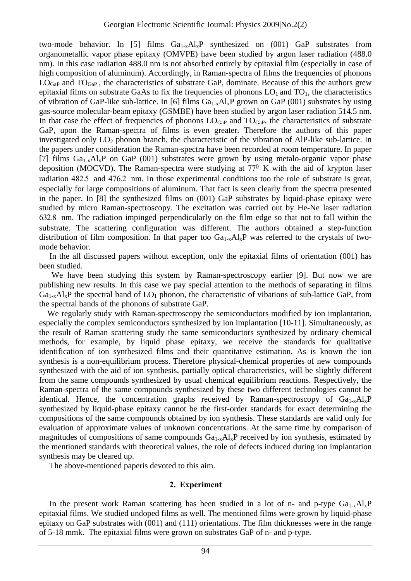two-mode behavior. In [5] films  $Ga_{1-x}Al_xP$  synthesized on (001) GaP substrates from organometallic vapor phase epitaxy (OMVPE) have been studied by argon laser radiation (488.0 nm). In this case radiation 488.0 nm is not absorbed entirely by epitaxial film (especially in case of high composition of aluminum). Accordingly, in Raman-spectra of films the frequencies of phonons  $LOG<sub>GaP</sub>$  and  $TO<sub>GaP</sub>$ , the characteristics of substrate GaP, dominate. Because of this the authors grew epitaxial films on substrate GaAs to fix the frequencies of phonons  $LO_1$  and  $TO_1$ , the characteristics of vibration of GaP-like sub-lattice. In [6] films  $Ga_{1-x}Al_xP$  grown on GaP (001) substrates by using gas-source molecular-beam epitaxy (GSMBE) have been studied by argon laser radiation 514.5 nm. In that case the effect of frequencies of phonons  $LO_{GaP}$  and  $TO_{GaP}$ , the characteristics of substrate GaP, upon the Raman-spectra of films is even greater. Therefore the authors of this paper investigated only  $LO_2$  phonon branch, the characteristic of the vibration of AlP-like sub-lattice. In the papers under consideration the Raman-spectra have been recorded at room temperature. In paper [7] films  $Ga_{1-x}Al_xP$  on GaP (001) substrates were grown by using metalo-organic vapor phase deposition (MOCVD). The Raman-spectra were studying at  $77<sup>0</sup>$  K with the aid of krypton laser radiation 482.5 and 476.2 nm. In those experimental conditions too the role of substrate is great, especially for large compositions of aluminum. That fact is seen clearly from the spectra presented in the paper. In [8] the synthesized films on (001) GaP substrates by liquid-phase epitaxy were studied by micro Raman-spectroscopy. The excitation was carried out by He-Ne laser radiation 632.8 nm. The radiation impinged perpendicularly on the film edge so that not to fall within the substrate. The scattering configuration was different. The authors obtained a step-function distribution of film composition. In that paper too  $Ga_{1-x}Al_xP$  was referred to the crystals of twomode behavior.

 In the all discussed papers without exception, only the epitaxial films of orientation (001) has been studied.

 We have been studying this system by Raman-spectroscopy earlier [9]. But now we are publishing new results. In this case we pay special attention to the methods of separating in films  $Ga_{1-x}Al_xP$  the spectral band of  $LO_1$  phonon, the characteristic of vibations of sub-lattice GaP, from the spectral bands of the phonons of substrate GaP.

We regularly study with Raman-spectroscopy the semiconductors modified by ion implantation, especially the complex semiconductors synthesized by ion implantation [10-11]. Simultaneously, as the result of Raman scattering study the same semiconductors synthesized by ordinary chemical methods, for example, by liquid phase epitaxy, we receive the standards for qualitative identification of ion synthesized films and their quantitative estimation. As is known the ion synthesis is a non-equilibrium process. Therefore physical-chemical properties of new compounds synthesized with the aid of ion synthesis, partially optical characteristics, will be slightly different from the same compounds synthesized by usual chemical equilibrium reactions. Respectively, the Raman-spectra of the same compounds synthesized by these two different technologies cannot be identical. Hence, the concentration graphs received by Raman-spectroscopy of  $Ga_{1-x}Al_xP$ synthesized by liquid-phase epitaxy cannot be the first-order standards for exact determining the compositions of the same compounds obtained by ion synthesis. These standards are valid only for evaluation of approximate values of unknown concentrations. At the same time by comparison of magnitudes of compositions of same compounds  $Ga_{1-x}Al_xP$  received by ion synthesis, estimated by the mentioned standards with theoretical values, the role of defects induced during ion implantation synthesis may be cleared up.

The above-mentioned paperis devoted to this aim.

### **2. Experiment**

In the present work Raman scattering has been studied in a lot of n- and p-type  $Ga_{1-x}Al_xP$ epitaxial films. We studied undoped films as well. The mentioned films were grown by liquid-phase epitaxy on GaP substrates with (001) and (111) orientations. The film thicknesses were in the range of 5-18 mmk. The epitaxial films were grown on substrates GaP of n- and p-type.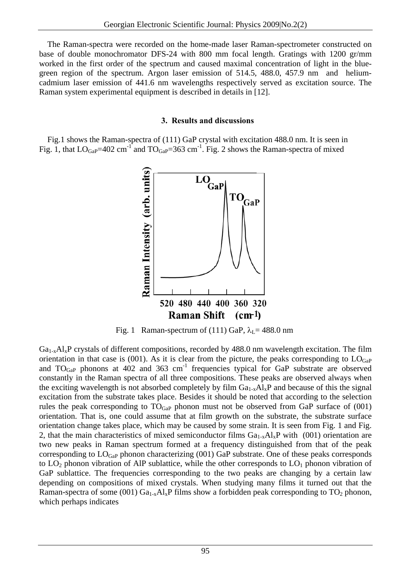The Raman-spectra were recorded on the home-made laser Raman-spectrometer constructed on base of double monochromator DFS-24 with 800 mm focal length. Gratings with 1200 gr/mm worked in the first order of the spectrum and caused maximal concentration of light in the bluegreen region of the spectrum. Argon laser emission of 514.5, 488.0, 457.9 nm and heliumcadmium laser emission of 441.6 nm wavelengths respectively served as excitation source. The Raman system experimental equipment is described in details in [12].

# **3. Results and discussions**

 Fig.1 shows the Raman-spectra of (111) GaP crystal with excitation 488.0 nm. It is seen in Fig. 1, that  $LO_{Gap}$ =402 cm<sup>-1</sup> and  $TO_{Gap}$ =363 cm<sup>-1</sup>. Fig. 2 shows the Raman-spectra of mixed



Fig. 1 Raman-spectrum of (111) GaP,  $\lambda_L$  = 488.0 nm

 $Ga_{1-x}Al_xP$  crystals of different compositions, recorded by 488.0 nm wavelength excitation. The film orientation in that case is (001). As it is clear from the picture, the peaks corresponding to  $LOG_{GaP}$ and  $TO_{GaP}$  phonons at  $402$  and  $363$  cm<sup>-1</sup> frequencies typical for GaP substrate are observed constantly in the Raman spectra of all three compositions. These peaks are observed always when the exciting wavelength is not absorbed completely by film  $Ga_{1-x}Al_xP$  and because of this the signal excitation from the substrate takes place. Besides it should be noted that according to the selection rules the peak corresponding to  $TO<sub>GaP</sub>$  phonon must not be observed from GaP surface of (001) orientation. That is, one could assume that at film growth on the substrate, the substrate surface orientation change takes place, which may be caused by some strain. It is seen from Fig. 1 and Fig. 2, that the main characteristics of mixed semiconductor films  $Ga_{1-x}Al_xP$  with (001) orientation are two new peaks in Raman spectrum formed at a frequency distinguished from that of the peak corresponding to  $LO_{GaP}$  phonon characterizing (001) GaP substrate. One of these peaks corresponds to  $LO_2$  phonon vibration of AlP sublattice, while the other corresponds to  $LO_1$  phonon vibration of GaP sublattice. The frequencies corresponding to the two peaks are changing by a certain law depending on compositions of mixed crystals. When studying many films it turned out that the Raman-spectra of some (001)  $Ga_{1-x}Al_xP$  films show a forbidden peak corresponding to  $TO_2$  phonon, which perhaps indicates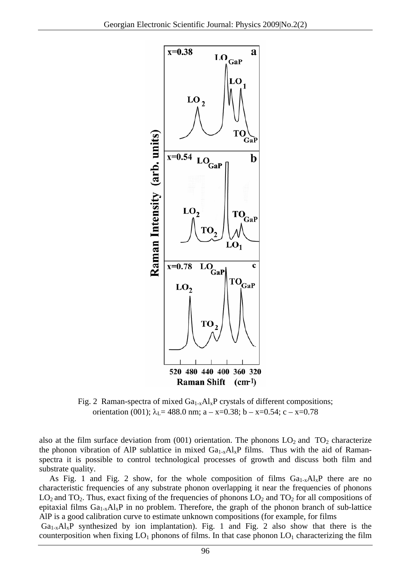

Fig. 2 Raman-spectra of mixed  $Ga_{1-x}Al_xP$  crystals of different compositions; orientation (001);  $\lambda_I = 488.0$  nm; a – x=0.38; b – x=0.54; c – x=0.78

also at the film surface deviation from  $(001)$  orientation. The phonons  $LO_2$  and  $TO_2$  characterize the phonon vibration of AlP sublattice in mixed  $Ga_{1-x}Al_xP$  films. Thus with the aid of Ramanspectra it is possible to control technological processes of growth and discuss both film and substrate quality.

As Fig. 1 and Fig. 2 show, for the whole composition of films  $Ga_{1-x}Al_xP$  there are no characteristic frequencies of any substrate phonon overlapping it near the frequencies of phonons  $LO_2$  and  $TO_2$ . Thus, exact fixing of the frequencies of phonons  $LO_2$  and  $TO_2$  for all compositions of epitaxial films  $Ga_{1-x}Al_xP$  in no problem. Therefore, the graph of the phonon branch of sub-lattice AlP is a good calibration curve to estimate unknown compositions (for example, for films

 $Ga_{1-x}Al_xP$  synthesized by ion implantation). Fig. 1 and Fig. 2 also show that there is the counterposition when fixing  $LO_1$  phonons of films. In that case phonon  $LO_1$  characterizing the film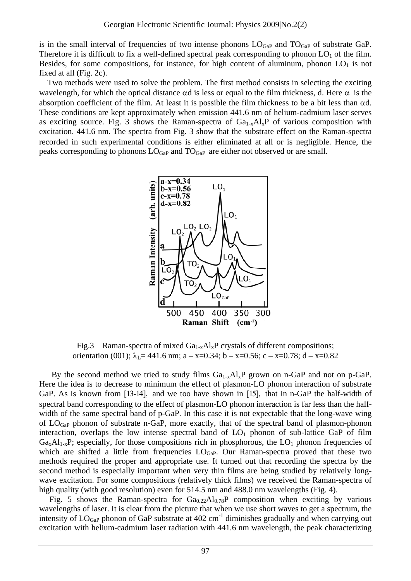is in the small interval of frequencies of two intense phonons  $LO_{GaP}$  and  $TO_{GaP}$  of substrate GaP. Therefore it is difficult to fix a well-defined spectral peak corresponding to phonon  $LO_1$  of the film. Besides, for some compositions, for instance, for high content of aluminum, phonon  $LO<sub>1</sub>$  is not fixed at all (Fig. 2c).

 Two methods were used to solve the problem. The first method consists in selecting the exciting wavelength, for which the optical distance  $\alpha d$  is less or equal to the film thickness, d. Here  $\alpha$  is the absorption coefficient of the film. At least it is possible the film thickness to be a bit less than αd. These conditions are kept approximately when emission 441.6 nm of helium-cadmium laser serves as exciting source. Fig. 3 shows the Raman-spectra of  $Ga_{1-x}Al_xP$  of various composition with excitation. 441.6 nm. The spectra from Fig. 3 show that the substrate effect on the Raman-spectra recorded in such experimental conditions is either eliminated at all or is negligible. Hence, the peaks corresponding to phonons  $LO_{GaP}$  and  $TO_{GaP}$  are either not observed or are small.



Fig.3 Raman-spectra of mixed  $Ga_{1-x}Al_xP$  crystals of different compositions; orientation (001);  $\lambda_L = 441.6$  nm; a – x=0.34; b – x=0.56; c – x=0.78; d – x=0.82

By the second method we tried to study films  $Ga_{1-x}Al_xP$  grown on n-GaP and not on p-GaP. Here the idea is to decrease to minimum the effect of plasmon-LO phonon interaction of substrate GaP. As is known from [13-14], and we too have shown in [15], that in n-GaP the half-width of spectral band corresponding to the effect of plasmon-LO phonon interaction is far less than the halfwidth of the same spectral band of p-GaP. In this case it is not expectable that the long-wave wing of  $LO<sub>Gap</sub>$  phonon of substrate n-GaP, more exactly, that of the spectral band of plasmon-phonon interaction, overlaps the low intense spectral band of  $LO_1$  phonon of sub-lattice GaP of film  $Ga_xAl_{1-x}P$ ; especially, for those compositions rich in phosphorous, the LO<sub>1</sub> phonon frequencies of which are shifted a little from frequencies  $LO_{GaP}$ . Our Raman-spectra proved that these two methods required the proper and appropriate use. It turned out that recording the spectra by the second method is especially important when very thin films are being studied by relatively longwave excitation. For some compositions (relatively thick films) we received the Raman-spectra of high quality (with good resolution) even for 514.5 nm and 488.0 nm wavelengths (Fig. 4).

Fig. 5 shows the Raman-spectra for  $Ga_{0.22}Al_{0.78}P$  composition when exciting by various wavelengths of laser. It is clear from the picture that when we use short waves to get a spectrum, the intensity of  $LO_{GaP}$  phonon of GaP substrate at 402 cm<sup>-1</sup> diminishes gradually and when carrying out excitation with helium-cadmium laser radiation with 441.6 nm wavelength, the peak characterizing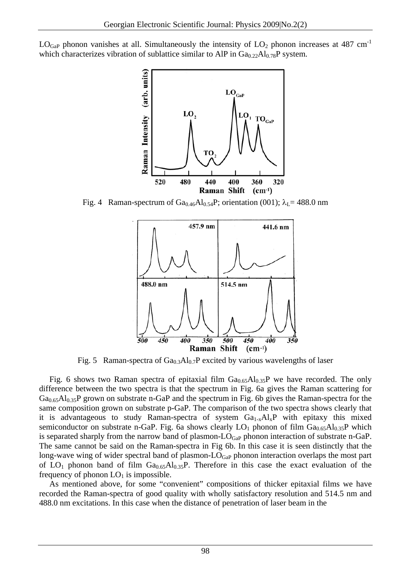$LOG<sub>GaP</sub>$  phonon vanishes at all. Simultaneously the intensity of  $LO<sub>2</sub>$  phonon increases at 487 cm<sup>-1</sup> which characterizes vibration of sublattice similar to AlP in  $Ga_{0.22}Al_{0.78}P$  system.



Fig. 4 Raman-spectrum of  $Ga_{0.46}Al_{0.54}P$ ; orientation (001);  $\lambda_L$  = 488.0 nm



Fig. 5 Raman-spectra of  $Ga<sub>0.3</sub>Al<sub>0.7</sub>P$  excited by various wavelengths of laser

Fig. 6 shows two Raman spectra of epitaxial film  $Ga_{0.65}Al_{0.35}P$  we have recorded. The only difference between the two spectra is that the spectrum in Fig. 6a gives the Raman scattering for  $Ga<sub>0.65</sub>Al<sub>0.35</sub>P$  grown on substrate n-GaP and the spectrum in Fig. 6b gives the Raman-spectra for the same composition grown on substrate p-GaP. The comparison of the two spectra shows clearly that it is advantageous to study Raman-spectra of system Ga<sub>1-x</sub>Al<sub>x</sub>P with epitaxy this mixed semiconductor on substrate n-GaP. Fig. 6a shows clearly  $LO_1$  phonon of film  $Ga<sub>0.65</sub>Al<sub>0.35</sub>P$  which is separated sharply from the narrow band of plasmon- $LO_{GaP}$  phonon interaction of substrate n-GaP. The same cannot be said on the Raman-spectra in Fig 6b. In this case it is seen distinctly that the long-wave wing of wider spectral band of plasmon- $LO_{GaP}$  phonon interaction overlaps the most part of  $LO_1$  phonon band of film  $Ga_{0.65}Al_{0.35}P$ . Therefore in this case the exact evaluation of the frequency of phonon  $LO<sub>1</sub>$  is impossible.

 As mentioned above, for some "convenient" compositions of thicker epitaxial films we have recorded the Raman-spectra of good quality with wholly satisfactory resolution and 514.5 nm and 488.0 nm excitations. In this case when the distance of penetration of laser beam in the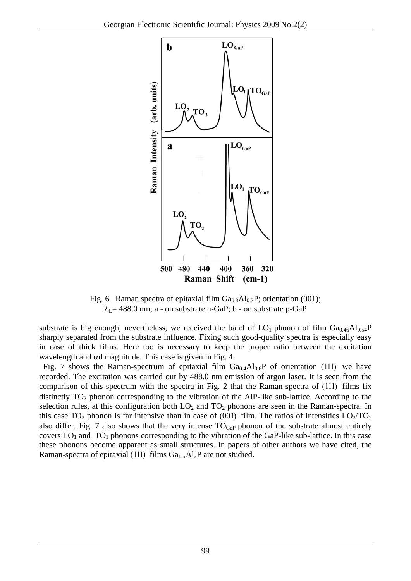

Fig. 6 Raman spectra of epitaxial film  $Ga_{0.3}Al_{0.7}P$ ; orientation (001);  $\lambda_L$  = 488.0 nm; a - on substrate n-GaP; b - on substrate p-GaP

substrate is big enough, nevertheless, we received the band of  $LO_1$  phonon of film  $Ga_{0.46}Al_{0.54}P$ sharply separated from the substrate influence. Fixing such good-quality spectra is especially easy in case of thick films. Here too is necessary to keep the proper ratio between the excitation wavelength and αd magnitude. This case is given in Fig. 4.

Fig. 7 shows the Raman-spectrum of epitaxial film  $Ga<sub>0.4</sub>Al<sub>0.6</sub>P$  of orientation (111) we have recorded. The excitation was carried out by 488.0 nm emission of argon laser. It is seen from the comparison of this spectrum with the spectra in Fig. 2 that the Raman-spectra of (111) films fix distinctly  $TO_2$  phonon corresponding to the vibration of the AlP-like sub-lattice. According to the selection rules, at this configuration both  $LO_2$  and  $TO_2$  phonons are seen in the Raman-spectra. In this case  $TO_2$  phonon is far intensive than in case of (001) film. The ratios of intensities  $LO_2/TO_2$ also differ. Fig. 7 also shows that the very intense  $TO<sub>GaP</sub>$  phonon of the substrate almost entirely covers  $LO_1$  and  $TO_1$  phonons corresponding to the vibration of the GaP-like sub-lattice. In this case these phonons become apparent as small structures. In papers of other authors we have cited, the Raman-spectra of epitaxial (111) films  $Ga_{1-x}Al_xP$  are not studied.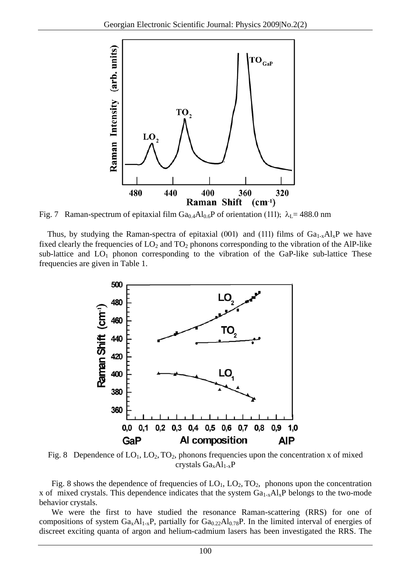

Fig. 7 Raman-spectrum of epitaxial film  $Ga_{0.4}Al_{0.6}P$  of orientation (111);  $\lambda_L$ = 488.0 nm

Thus, by studying the Raman-spectra of epitaxial (001) and (111) films of  $Ga_{1-x}Al_xP$  we have fixed clearly the frequencies of  $LO_2$  and  $TO_2$  phonons corresponding to the vibration of the AlP-like sub-lattice and  $LO_1$  phonon corresponding to the vibration of the GaP-like sub-lattice These frequencies are given in Table 1.



Fig. 8 Dependence of  $LO_1$ ,  $LO_2$ ,  $TO_2$ , phonons frequencies upon the concentration x of mixed crystals  $Ga_xAl_{1-x}P$ 

Fig. 8 shows the dependence of frequencies of  $LO_1$ ,  $LO_2$ ,  $TO_2$ , phonons upon the concentration x of mixed crystals. This dependence indicates that the system  $Ga_{1-x}Al_xP$  belongs to the two-mode behavior crystals.

 We were the first to have studied the resonance Raman-scattering (RRS) for one of compositions of system  $Ga_xAl_{1-x}P$ , partially for  $Ga_{0.22}Al_{0.78}P$ . In the limited interval of energies of discreet exciting quanta of argon and helium-cadmium lasers has been investigated the RRS. The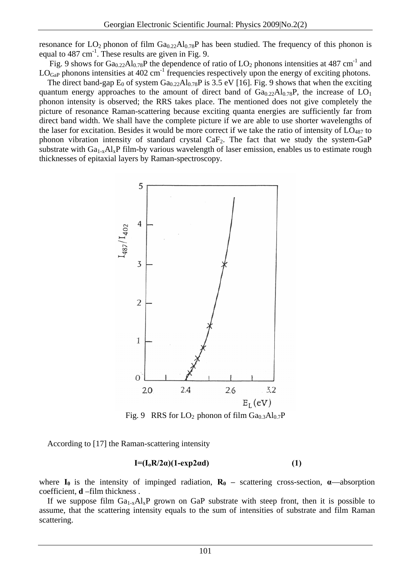resonance for  $LO_2$  phonon of film  $Ga_{0.22}Al_{0.78}P$  has been studied. The frequency of this phonon is equal to 487 cm<sup>-1</sup>. These results are given in Fig. 9.

Fig. 9 shows for  $Ga_{0.22}Al_{0.78}P$  the dependence of ratio of LO<sub>2</sub> phonons intensities at 487 cm<sup>-1</sup> and  $LO_{GaP}$  phonons intensities at 402 cm<sup>-1</sup> frequencies respectively upon the energy of exciting photons.

The direct band-gap  $E_0$  of system  $Ga_{0.22}Al_{0.78}P$  is 3.5 eV [16]. Fig. 9 shows that when the exciting quantum energy approaches to the amount of direct band of  $Ga_{0.22}Al_{0.78}P$ , the increase of  $LO_1$ phonon intensity is observed; the RRS takes place. The mentioned does not give completely the picture of resonance Raman-scattering because exciting quanta energies are sufficiently far from direct band width. We shall have the complete picture if we are able to use shorter wavelengths of the laser for excitation. Besides it would be more correct if we take the ratio of intensity of  $LO_{487}$  to phonon vibration intensity of standard crystal  $CaF<sub>2</sub>$ . The fact that we study the system-GaP substrate with  $Ga_{1-x}Al_xP$  film-by various wavelength of laser emission, enables us to estimate rough thicknesses of epitaxial layers by Raman-spectroscopy.



Fig. 9 RRS for  $LO_2$  phonon of film  $Ga<sub>0.3</sub>Al<sub>0.7</sub>P$ 

According to [17] the Raman-scattering intensity

# $I = (I_0 R/2a)(1 - exp2a d)$  (1)

where  $I_0$  is the intensity of impinged radiation,  $R_0$  – scattering cross-section,  $\alpha$ —absorption coefficient, **d** –film thickness .

If we suppose film  $Ga_{1-x}Al_xP$  grown on GaP substrate with steep front, then it is possible to assume, that the scattering intensity equals to the sum of intensities of substrate and film Raman scattering.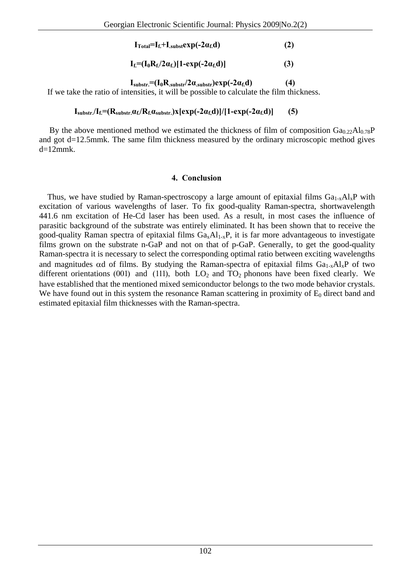$\mathbf{I}_{\text{Total}} = \mathbf{I}_{\text{f}} + \mathbf{I}_{\text{subst}} \exp(-2\alpha_{\text{f}} d)$  (2)

$$
I_f = (I_0 R_f / 2\alpha_f) [1 - \exp(-2\alpha_f d)] \tag{3}
$$

 $I_{\text{substr}} = (I_0 R_{\text{substr}}/2 \alpha_{\text{substr}}) \exp(-2 \alpha_f d)$  (4)

If we take the ratio of intensities, it will be possible to calculate the film thickness.

#### $I_{\text{substr}}/I_{\text{f}} = (R_{\text{substr}} \alpha_{\text{f}}/R_{\text{f}} \alpha_{\text{substr}})x[\exp(-2\alpha_{\text{f}} d)]/[1-\exp(-2\alpha_{\text{f}} d)]$  (5)

By the above mentioned method we estimated the thickness of film of composition  $Ga_{0.22}Al_{0.78}P$ and got d=12.5mmk. The same film thickness measured by the ordinary microscopic method gives  $d=12$ mmk.

#### **4. Conclusion**

Thus, we have studied by Raman-spectroscopy a large amount of epitaxial films  $Ga_{1-x}Al_xP$  with excitation of various wavelengths of laser. To fix good-quality Raman-spectra, shortwavelength 441.6 nm excitation of He-Cd laser has been used. As a result, in most cases the influence of parasitic background of the substrate was entirely eliminated. It has been shown that to receive the good-quality Raman spectra of epitaxial films  $Ga_xAl_{1-x}P$ , it is far more advantageous to investigate films grown on the substrate n-GaP and not on that of p-GaP. Generally, to get the good-quality Raman-spectra it is necessary to select the corresponding optimal ratio between exciting wavelengths and magnitudes  $\alpha$ d of films. By studying the Raman-spectra of epitaxial films  $Ga_{1-x}Al_xP$  of two different orientations (001) and (111), both  $LO_2$  and  $TO_2$  phonons have been fixed clearly. We have established that the mentioned mixed semiconductor belongs to the two mode behavior crystals. We have found out in this system the resonance Raman scattering in proximity of  $E_0$  direct band and estimated epitaxial film thicknesses with the Raman-spectra.